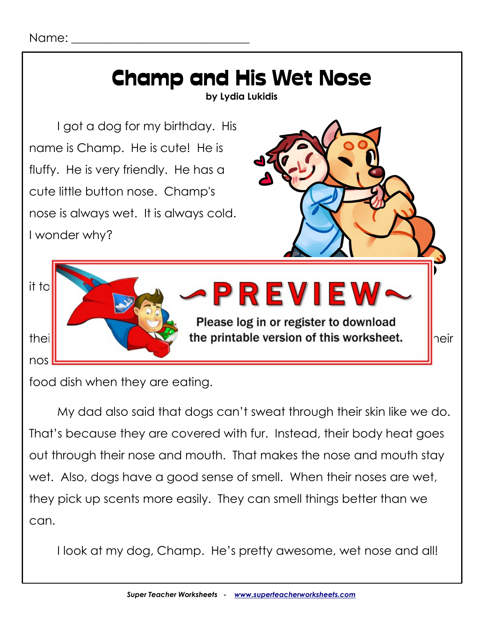

food dish when they are eating.

My dad also said that dogs can't sweat through their skin like we do. That's because they are covered with fur. Instead, their body heat goes out through their nose and mouth. That makes the nose and mouth stay wet. Also, dogs have a good sense of smell. When their noses are wet, they pick up scents more easily. They can smell things better than we can.

I look at my dog, Champ. He's pretty awesome, wet nose and all!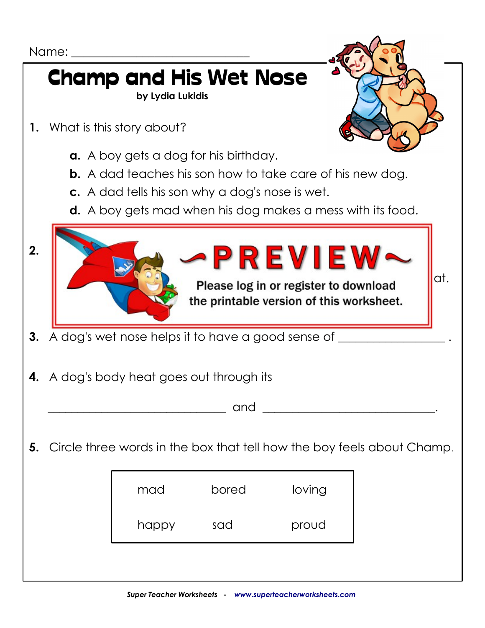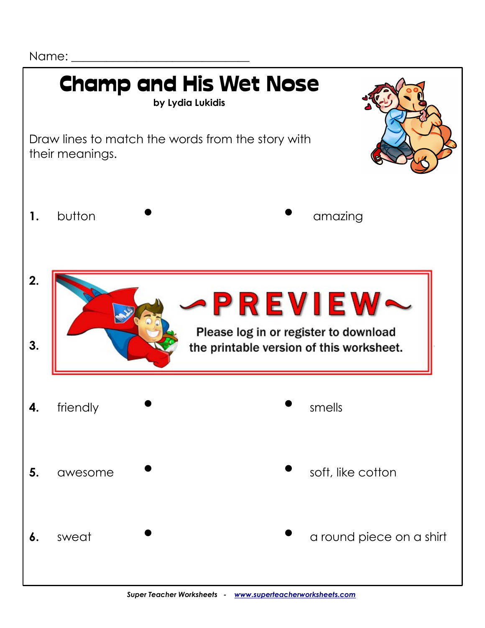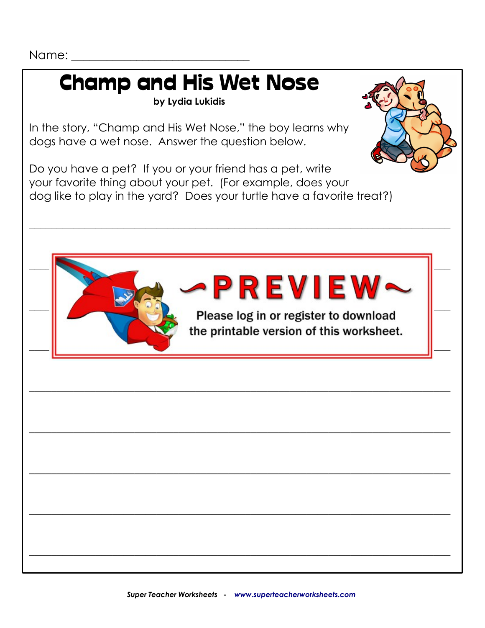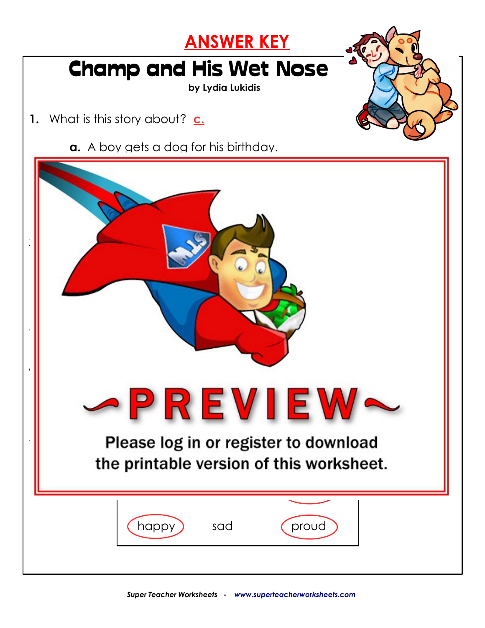